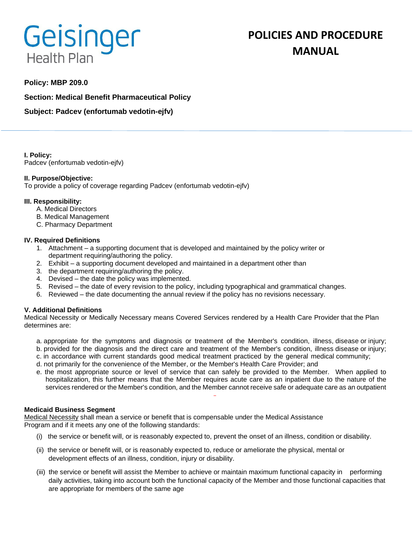# Geisinger **Health Plan**

# **POLICIES AND PROCEDURE MANUAL**

# **Policy: MBP 209.0**

**Section: Medical Benefit Pharmaceutical Policy**

**Subject: Padcev (enfortumab vedotin-ejfv)**

**I. Policy:** Padcev (enfortumab vedotin-ejfv)

# **II. Purpose/Objective:**

To provide a policy of coverage regarding Padcev (enfortumab vedotin-ejfv)

### **III. Responsibility:**

- A. Medical Directors
- B. Medical Management
- C. Pharmacy Department

### **IV. Required Definitions**

- 1. Attachment a supporting document that is developed and maintained by the policy writer or department requiring/authoring the policy.
- 2. Exhibit a supporting document developed and maintained in a department other than
- 3. the department requiring/authoring the policy.
- 4. Devised the date the policy was implemented.
- 5. Revised the date of every revision to the policy, including typographical and grammatical changes.
- 6. Reviewed the date documenting the annual review if the policy has no revisions necessary.

# **V. Additional Definitions**

Medical Necessity or Medically Necessary means Covered Services rendered by a Health Care Provider that the Plan determines are:

- a. appropriate for the symptoms and diagnosis or treatment of the Member's condition, illness, disease or injury; b. provided for the diagnosis and the direct care and treatment of the Member's condition, illness disease or injury;
- c. in accordance with current standards good medical treatment practiced by the general medical community;
- d. not primarily for the convenience of the Member, or the Member's Health Care Provider; and
- e. the most appropriate source or level of service that can safely be provided to the Member. When applied to hospitalization, this further means that the Member requires acute care as an inpatient due to the nature of the services rendered or the Member's condition, and the Member cannot receive safe or adequate care as an outpatient

#### **Medicaid Business Segment**

Medical Necessity shall mean a service or benefit that is compensable under the Medical Assistance Program and if it meets any one of the following standards:

- (i) the service or benefit will, or is reasonably expected to, prevent the onset of an illness, condition or disability.
- (ii) the service or benefit will, or is reasonably expected to, reduce or ameliorate the physical, mental or development effects of an illness, condition, injury or disability.
- (iii) the service or benefit will assist the Member to achieve or maintain maximum functional capacity in performing daily activities, taking into account both the functional capacity of the Member and those functional capacities that are appropriate for members of the same age